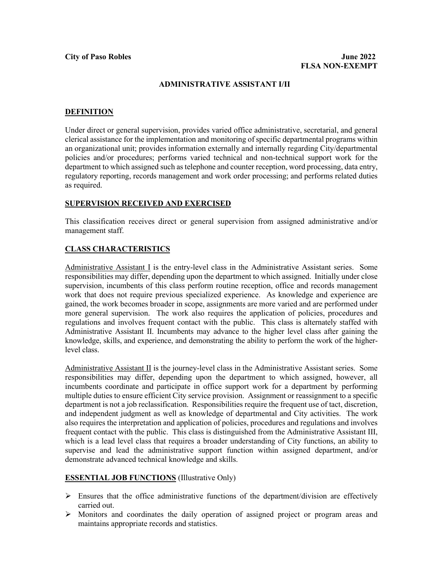### **ADMINISTRATIVE ASSISTANT I/II**

### **DEFINITION**

Under direct or general supervision, provides varied office administrative, secretarial, and general clerical assistance for the implementation and monitoring of specific departmental programs within an organizational unit; provides information externally and internally regarding City/departmental policies and/or procedures; performs varied technical and non-technical support work for the department to which assigned such as telephone and counter reception, word processing, data entry, regulatory reporting, records management and work order processing; and performs related duties as required.

### **SUPERVISION RECEIVED AND EXERCISED**

This classification receives direct or general supervision from assigned administrative and/or management staff.

### **CLASS CHARACTERISTICS**

Administrative Assistant I is the entry-level class in the Administrative Assistant series. Some responsibilities may differ, depending upon the department to which assigned. Initially under close supervision, incumbents of this class perform routine reception, office and records management work that does not require previous specialized experience. As knowledge and experience are gained, the work becomes broader in scope, assignments are more varied and are performed under more general supervision. The work also requires the application of policies, procedures and regulations and involves frequent contact with the public. This class is alternately staffed with Administrative Assistant II. Incumbents may advance to the higher level class after gaining the knowledge, skills, and experience, and demonstrating the ability to perform the work of the higherlevel class.

Administrative Assistant II is the journey-level class in the Administrative Assistant series. Some responsibilities may differ, depending upon the department to which assigned, however, all incumbents coordinate and participate in office support work for a department by performing multiple duties to ensure efficient City service provision. Assignment or reassignment to a specific department is not a job reclassification. Responsibilities require the frequent use of tact, discretion, and independent judgment as well as knowledge of departmental and City activities. The work also requires the interpretation and application of policies, procedures and regulations and involves frequent contact with the public. This class is distinguished from the Administrative Assistant III, which is a lead level class that requires a broader understanding of City functions, an ability to supervise and lead the administrative support function within assigned department, and/or demonstrate advanced technical knowledge and skills.

### **ESSENTIAL JOB FUNCTIONS** (Illustrative Only)

- $\triangleright$  Ensures that the office administrative functions of the department/division are effectively carried out.
- $\triangleright$  Monitors and coordinates the daily operation of assigned project or program areas and maintains appropriate records and statistics.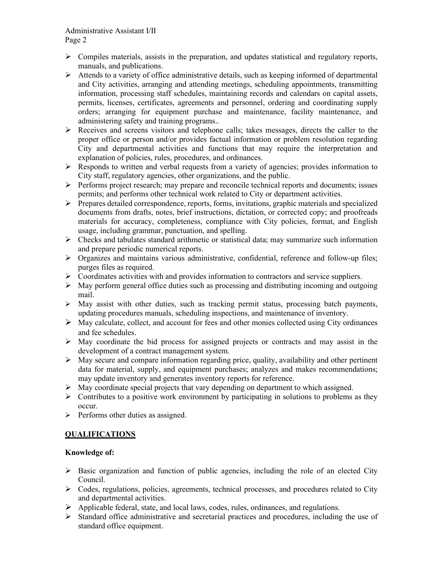- Compiles materials, assists in the preparation, and updates statistical and regulatory reports, manuals, and publications.
- $\triangleright$  Attends to a variety of office administrative details, such as keeping informed of departmental and City activities, arranging and attending meetings, scheduling appointments, transmitting information, processing staff schedules, maintaining records and calendars on capital assets, permits, licenses, certificates, agreements and personnel, ordering and coordinating supply orders; arranging for equipment purchase and maintenance, facility maintenance, and administering safety and training programs..
- $\triangleright$  Receives and screens visitors and telephone calls; takes messages, directs the caller to the proper office or person and/or provides factual information or problem resolution regarding City and departmental activities and functions that may require the interpretation and explanation of policies, rules, procedures, and ordinances.
- $\triangleright$  Responds to written and verbal requests from a variety of agencies; provides information to City staff, regulatory agencies, other organizations, and the public.
- $\triangleright$  Performs project research; may prepare and reconcile technical reports and documents; issues permits; and performs other technical work related to City or department activities.
- $\triangleright$  Prepares detailed correspondence, reports, forms, invitations, graphic materials and specialized documents from drafts, notes, brief instructions, dictation, or corrected copy; and proofreads materials for accuracy, completeness, compliance with City policies, format, and English usage, including grammar, punctuation, and spelling.
- $\triangleright$  Checks and tabulates standard arithmetic or statistical data; may summarize such information and prepare periodic numerical reports.
- Organizes and maintains various administrative, confidential, reference and follow-up files; purges files as required.
- $\triangleright$  Coordinates activities with and provides information to contractors and service suppliers.
- $\triangleright$  May perform general office duties such as processing and distributing incoming and outgoing mail.
- $\triangleright$  May assist with other duties, such as tracking permit status, processing batch payments, updating procedures manuals, scheduling inspections, and maintenance of inventory.
- $\triangleright$  May calculate, collect, and account for fees and other monies collected using City ordinances and fee schedules.
- $\triangleright$  May coordinate the bid process for assigned projects or contracts and may assist in the development of a contract management system.
- $\triangleright$  May secure and compare information regarding price, quality, availability and other pertinent data for material, supply, and equipment purchases; analyzes and makes recommendations; may update inventory and generates inventory reports for reference.
- May coordinate special projects that vary depending on department to which assigned.
- $\triangleright$  Contributes to a positive work environment by participating in solutions to problems as they occur.
- $\triangleright$  Performs other duties as assigned.

# **QUALIFICATIONS**

# **Knowledge of:**

- $\triangleright$  Basic organization and function of public agencies, including the role of an elected City Council.
- $\triangleright$  Codes, regulations, policies, agreements, technical processes, and procedures related to City and departmental activities.
- Applicable federal, state, and local laws, codes, rules, ordinances, and regulations.
- $\triangleright$  Standard office administrative and secretarial practices and procedures, including the use of standard office equipment.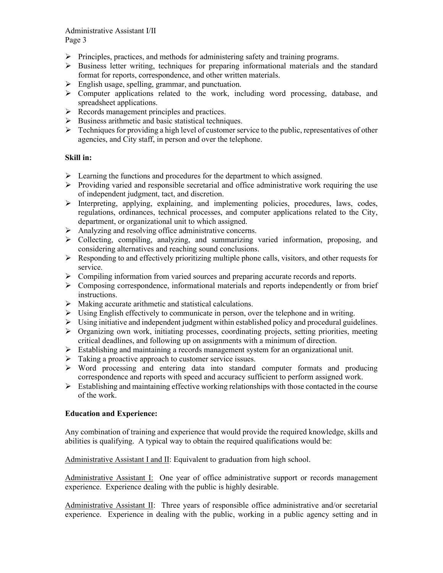### Administrative Assistant I/II Page 3

- $\triangleright$  Principles, practices, and methods for administering safety and training programs.
- $\triangleright$  Business letter writing, techniques for preparing informational materials and the standard format for reports, correspondence, and other written materials.
- $\triangleright$  English usage, spelling, grammar, and punctuation.
- $\triangleright$  Computer applications related to the work, including word processing, database, and spreadsheet applications.
- $\triangleright$  Records management principles and practices.
- $\triangleright$  Business arithmetic and basic statistical techniques.
- $\triangleright$  Techniques for providing a high level of customer service to the public, representatives of other agencies, and City staff, in person and over the telephone.

## **Skill in:**

- $\triangleright$  Learning the functions and procedures for the department to which assigned.
- $\triangleright$  Providing varied and responsible secretarial and office administrative work requiring the use of independent judgment, tact, and discretion.
- $\triangleright$  Interpreting, applying, explaining, and implementing policies, procedures, laws, codes, regulations, ordinances, technical processes, and computer applications related to the City, department, or organizational unit to which assigned.
- Analyzing and resolving office administrative concerns.
- Collecting, compiling, analyzing, and summarizing varied information, proposing, and considering alternatives and reaching sound conclusions.
- $\triangleright$  Responding to and effectively prioritizing multiple phone calls, visitors, and other requests for service.
- $\triangleright$  Compiling information from varied sources and preparing accurate records and reports.
- $\triangleright$  Composing correspondence, informational materials and reports independently or from brief instructions.
- $\triangleright$  Making accurate arithmetic and statistical calculations.
- $\triangleright$  Using English effectively to communicate in person, over the telephone and in writing.
- $\triangleright$  Using initiative and independent judgment within established policy and procedural guidelines.
- $\triangleright$  Organizing own work, initiating processes, coordinating projects, setting priorities, meeting critical deadlines, and following up on assignments with a minimum of direction.
- $\triangleright$  Establishing and maintaining a records management system for an organizational unit.
- $\triangleright$  Taking a proactive approach to customer service issues.
- $\triangleright$  Word processing and entering data into standard computer formats and producing correspondence and reports with speed and accuracy sufficient to perform assigned work.
- $\triangleright$  Establishing and maintaining effective working relationships with those contacted in the course of the work.

## **Education and Experience:**

Any combination of training and experience that would provide the required knowledge, skills and abilities is qualifying. A typical way to obtain the required qualifications would be:

Administrative Assistant I and II: Equivalent to graduation from high school.

Administrative Assistant I: One year of office administrative support or records management experience. Experience dealing with the public is highly desirable.

Administrative Assistant II: Three years of responsible office administrative and/or secretarial experience. Experience in dealing with the public, working in a public agency setting and in